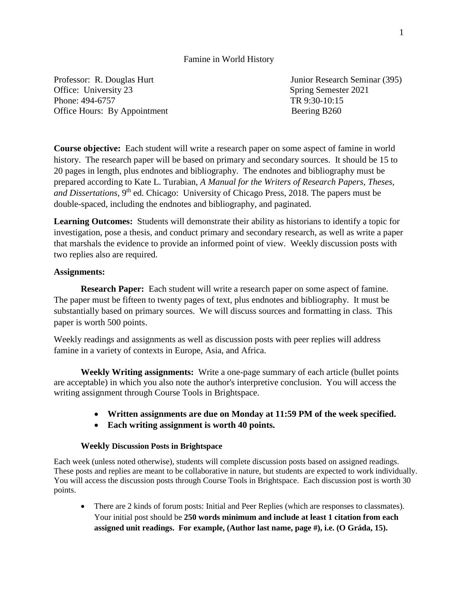### Famine in World History

Professor: R. Douglas Hurt Junior Research Seminar (395) Office: University 23 Spring Semester 2021 Phone: 494-6757 TR 9:30-10:15 Office Hours: By Appointment Beering B260

**Course objective:** Each student will write a research paper on some aspect of famine in world history. The research paper will be based on primary and secondary sources. It should be 15 to 20 pages in length, plus endnotes and bibliography. The endnotes and bibliography must be prepared according to Kate L. Turabian, *A Manual for the Writers of Research Papers, Theses, and Dissertations*, 9<sup>th</sup> ed. Chicago: University of Chicago Press, 2018. The papers must be double-spaced, including the endnotes and bibliography, and paginated.

**Learning Outcomes:** Students will demonstrate their ability as historians to identify a topic for investigation, pose a thesis, and conduct primary and secondary research, as well as write a paper that marshals the evidence to provide an informed point of view. Weekly discussion posts with two replies also are required.

### **Assignments:**

**Research Paper:** Each student will write a research paper on some aspect of famine. The paper must be fifteen to twenty pages of text, plus endnotes and bibliography. It must be substantially based on primary sources. We will discuss sources and formatting in class. This paper is worth 500 points.

Weekly readings and assignments as well as discussion posts with peer replies will address famine in a variety of contexts in Europe, Asia, and Africa.

**Weekly Writing assignments:** Write a one-page summary of each article (bullet points are acceptable) in which you also note the author's interpretive conclusion. You will access the writing assignment through Course Tools in Brightspace.

- **Written assignments are due on Monday at 11:59 PM of the week specified.**
- **Each writing assignment is worth 40 points.**

### **Weekly Discussion Posts in Brightspace**

Each week (unless noted otherwise), students will complete discussion posts based on assigned readings. These posts and replies are meant to be collaborative in nature, but students are expected to work individually. You will access the discussion posts through Course Tools in Brightspace. Each discussion post is worth 30 points.

• There are 2 kinds of forum posts: Initial and Peer Replies (which are responses to classmates). Your initial post should be **250 words minimum and include at least 1 citation from each assigned unit readings. For example, (Author last name, page #), i.e. (O Gráda, 15).**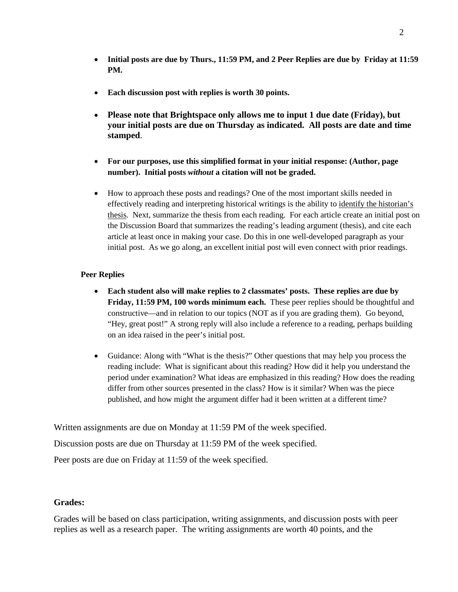- **Initial posts are due by Thurs., 11:59 PM, and 2 Peer Replies are due by Friday at 11:59 PM.**
- **Each discussion post with replies is worth 30 points.**
- **Please note that Brightspace only allows me to input 1 due date (Friday), but your initial posts are due on Thursday as indicated. All posts are date and time stamped**.
- **For our purposes, use this simplified format in your initial response: (Author, page number). Initial posts** *without* **a citation will not be graded.**
- How to approach these posts and readings? One of the most important skills needed in effectively reading and interpreting historical writings is the ability to identify the historian's thesis. Next, summarize the thesis from each reading. For each article create an initial post on the Discussion Board that summarizes the reading's leading argument (thesis), and cite each article at least once in making your case. Do this in one well-developed paragraph as your initial post. As we go along, an excellent initial post will even connect with prior readings.

### **Peer Replies**

- **Each student also will make replies to 2 classmates' posts. These replies are due by Friday, 11:59 PM, 100 words minimum each.** These peer replies should be thoughtful and constructive—and in relation to our topics (NOT as if you are grading them). Go beyond, "Hey, great post!" A strong reply will also include a reference to a reading, perhaps building on an idea raised in the peer's initial post.
- Guidance: Along with "What is the thesis?" Other questions that may help you process the reading include: What is significant about this reading? How did it help you understand the period under examination? What ideas are emphasized in this reading? How does the reading differ from other sources presented in the class? How is it similar? When was the piece published, and how might the argument differ had it been written at a different time?

Written assignments are due on Monday at 11:59 PM of the week specified.

Discussion posts are due on Thursday at 11:59 PM of the week specified.

Peer posts are due on Friday at 11:59 of the week specified.

## **Grades:**

Grades will be based on class participation, writing assignments, and discussion posts with peer replies as well as a research paper. The writing assignments are worth 40 points, and the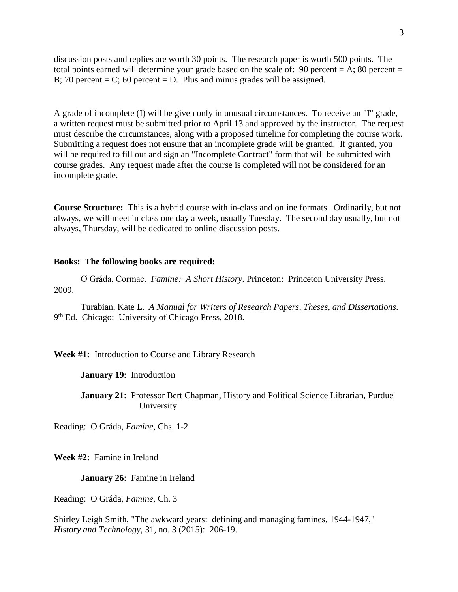discussion posts and replies are worth 30 points. The research paper is worth 500 points. The total points earned will determine your grade based on the scale of: 90 percent =  $A$ ; 80 percent = B; 70 percent = C; 60 percent = D. Plus and minus grades will be assigned.

A grade of incomplete (I) will be given only in unusual circumstances. To receive an "I" grade, a written request must be submitted prior to April 13 and approved by the instructor. The request must describe the circumstances, along with a proposed timeline for completing the course work. Submitting a request does not ensure that an incomplete grade will be granted. If granted, you will be required to fill out and sign an "Incomplete Contract" form that will be submitted with course grades. Any request made after the course is completed will not be considered for an incomplete grade.

**Course Structure:** This is a hybrid course with in-class and online formats. Ordinarily, but not always, we will meet in class one day a week, usually Tuesday. The second day usually, but not always, Thursday, will be dedicated to online discussion posts.

#### **Books: The following books are required:**

Ơ Gráda, Cormac. *Famine: A Short History*. Princeton: Princeton University Press, 2009.

Turabian, Kate L. *A Manual for Writers of Research Papers, Theses, and Dissertations*. 9<sup>th</sup> Ed. Chicago: University of Chicago Press, 2018.

**Week #1:** Introduction to Course and Library Research

**January 19**: Introduction

**January 21**: Professor Bert Chapman, History and Political Science Librarian, Purdue University

Reading: Ơ Gráda, *Famine*, Chs. 1-2

**Week #2:** Famine in Ireland

**January 26**: Famine in Ireland

Reading: O Gráda, *Famine*, Ch. 3

Shirley Leigh Smith, "The awkward years: defining and managing famines, 1944-1947," *History and Technology*, 31, no. 3 (2015): 206-19.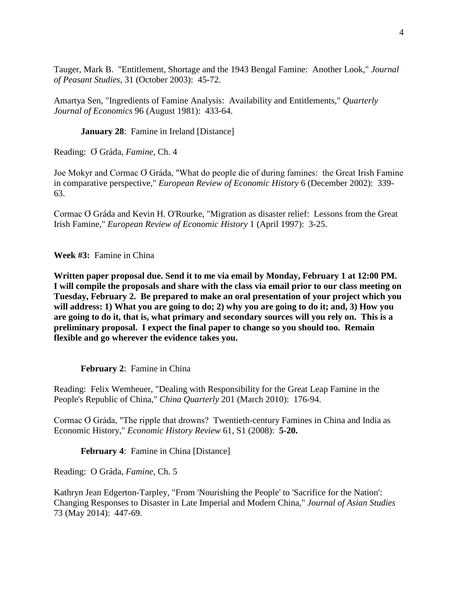Tauger, Mark B. "Entitlement, Shortage and the 1943 Bengal Famine: Another Look," *Journal of Peasant Studies*, 31 (October 2003): 45-72.

Amartya Sen, "Ingredients of Famine Analysis: Availability and Entitlements," *Quarterly Journal of Economics* 96 (August 1981): 433-64.

**January 28:** Famine in Ireland [Distance]

Reading: Ơ Gráda, *Famine*, Ch. 4

Joe Mokyr and Cormac Ơ Gráda, "What do people die of during famines: the Great Irish Famine in comparative perspective," *European Review of Economic History* 6 (December 2002): 339- 63.

Cormac Ơ Gráda and Kevin H. O'Rourke, "Migration as disaster relief: Lessons from the Great Irish Famine," *European Review of Economic History* 1 (April 1997): 3-25.

**Week #3:** Famine in China

**Written paper proposal due. Send it to me via email by Monday, February 1 at 12:00 PM. I will compile the proposals and share with the class via email prior to our class meeting on Tuesday, February 2. Be prepared to make an oral presentation of your project which you will address: 1) What you are going to do; 2) why you are going to do it; and, 3) How you are going to do it, that is, what primary and secondary sources will you rely on. This is a preliminary proposal. I expect the final paper to change so you should too. Remain flexible and go wherever the evidence takes you.**

**February 2**: Famine in China

Reading: Felix Wemheuer, "Dealing with Responsibility for the Great Leap Famine in the People's Republic of China," *China Quarterly* 201 (March 2010): 176-94.

Cormac Ơ Gráda, "The ripple that drowns? Twentieth-century Famines in China and India as Economic History," *Economic History Review* 61, S1 (2008): **5-20.**

**February 4:** Famine in China [Distance]

Reading: O Gráda, *Famine*, Ch. 5

Kathryn Jean Edgerton-Tarpley, "From 'Nourishing the People' to 'Sacrifice for the Nation': Changing Responses to Disaster in Late Imperial and Modern China," *Journal of Asian Studies* 73 (May 2014): 447-69.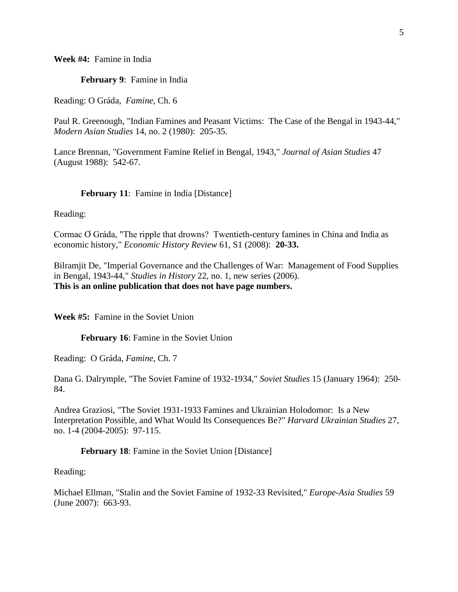**Week #4:** Famine in India

**February 9**: Famine in India

Reading: O Gráda, *Famine*, Ch. 6

Paul R. Greenough, "Indian Famines and Peasant Victims: The Case of the Bengal in 1943-44," *Modern Asian Studies* 14, no. 2 (1980): 205-35.

Lance Brennan, "Government Famine Relief in Bengal, 1943," *Journal of Asian Studies* 47 (August 1988): 542-67.

#### **February 11**: Famine in India [Distance]

Reading:

Cormac Ơ Gráda, "The ripple that drowns? Twentieth-century famines in China and India as economic history," *Economic History Review* 61, S1 (2008): **20-33.**

Bilramjit De, "Imperial Governance and the Challenges of War: Management of Food Supplies in Bengal, 1943-44," *Studies in History* 22, no. 1, new series (2006). **This is an online publication that does not have page numbers.**

**Week #5:** Famine in the Soviet Union

**February 16**: Famine in the Soviet Union

Reading: O Gráda, *Famine*, Ch. 7

Dana G. Dalrymple, "The Soviet Famine of 1932-1934," *Soviet Studies* 15 (January 1964): 250- 84.

Andrea Graziosi, "The Soviet 1931-1933 Famines and Ukrainian Holodomor: Is a New Interpretation Possible, and What Would Its Consequences Be?" *Harvard Ukrainian Studies* 27, no. 1-4 (2004-2005): 97-115.

**February 18**: Famine in the Soviet Union [Distance]

Reading:

Michael Ellman, "Stalin and the Soviet Famine of 1932-33 Revisited," *Europe-Asia Studies* 59 (June 2007): 663-93.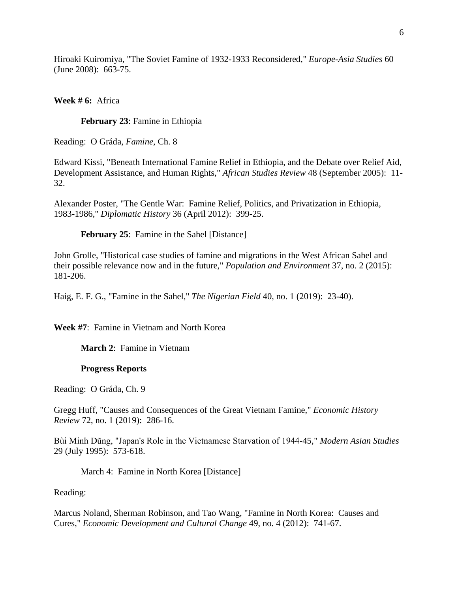Hiroaki Kuiromiya, "The Soviet Famine of 1932-1933 Reconsidered," *Europe-Asia Studies* 60 (June 2008): 663-75.

**Week # 6:** Africa

**February 23**: Famine in Ethiopia

Reading: O Gráda, *Famine*, Ch. 8

Edward Kissi, "Beneath International Famine Relief in Ethiopia, and the Debate over Relief Aid, Development Assistance, and Human Rights," *African Studies Review* 48 (September 2005): 11- 32.

Alexander Poster, "The Gentle War: Famine Relief, Politics, and Privatization in Ethiopia, 1983-1986," *Diplomatic History* 36 (April 2012): 399-25.

**February 25:** Famine in the Sahel [Distance]

John Grolle, "Historical case studies of famine and migrations in the West African Sahel and their possible relevance now and in the future," *Population and Environment* 37, no. 2 (2015): 181-206.

Haig, E. F. G., "Famine in the Sahel," *The Nigerian Field* 40, no. 1 (2019): 23-40).

**Week #7**: Famine in Vietnam and North Korea

**March 2**: Famine in Vietnam

## **Progress Reports**

Reading: O Gráda, Ch. 9

Gregg Huff, "Causes and Consequences of the Great Vietnam Famine," *Economic History Review* 72, no. 1 (2019): 286-16.

Bùi Minh Dũng, "Japan's Role in the Vietnamese Starvation of 1944-45," *Modern Asian Studies* 29 (July 1995): 573-618.

March 4: Famine in North Korea [Distance]

Reading:

Marcus Noland, Sherman Robinson, and Tao Wang, "Famine in North Korea: Causes and Cures," *Economic Development and Cultural Change* 49, no. 4 (2012): 741-67.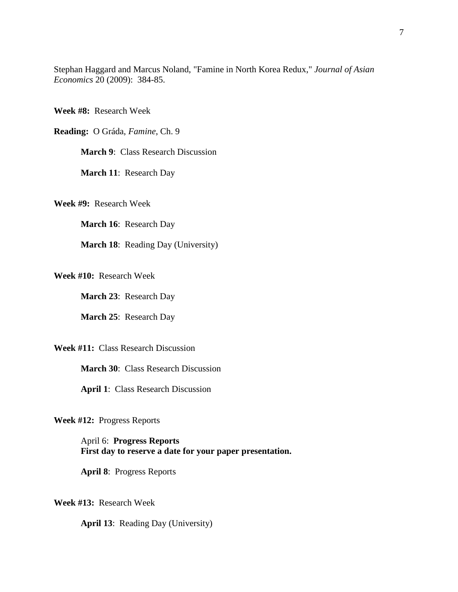Stephan Haggard and Marcus Noland, "Famine in North Korea Redux," *Journal of Asian Economics* 20 (2009): 384-85.

**Week #8:** Research Week

**Reading:** O Gráda, *Famine*, Ch. 9

**March 9: Class Research Discussion** 

**March 11**: Research Day

**Week #9:** Research Week

**March 16**: Research Day

**March 18**: Reading Day (University)

**Week #10:** Research Week

**March 23**: Research Day

**March 25**: Research Day

**Week #11:** Class Research Discussion

**March 30: Class Research Discussion** 

**April 1**: Class Research Discussion

**Week #12:** Progress Reports

April 6: **Progress Reports First day to reserve a date for your paper presentation.**

**April 8**: Progress Reports

**Week #13:** Research Week

**April 13**: Reading Day (University)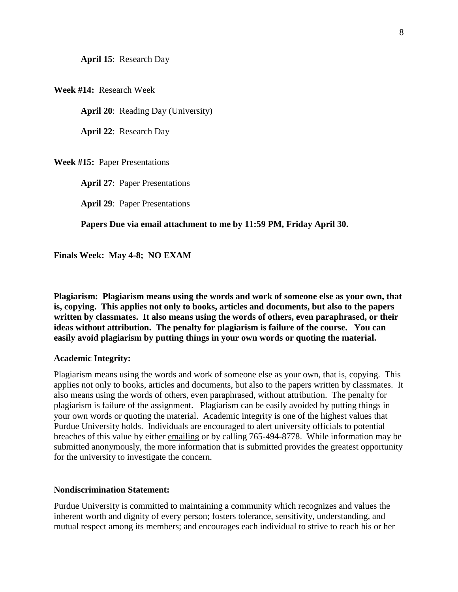**April 15**: Research Day

**Week #14:** Research Week

**April 20**: Reading Day (University)

**April 22**: Research Day

**Week #15:** Paper Presentations

**April 27**: Paper Presentations

**April 29**: Paper Presentations

**Papers Due via email attachment to me by 11:59 PM, Friday April 30.**

**Finals Week: May 4-8; NO EXAM**

**Plagiarism: Plagiarism means using the words and work of someone else as your own, that is, copying. This applies not only to books, articles and documents, but also to the papers written by classmates. It also means using the words of others, even paraphrased, or their ideas without attribution. The penalty for plagiarism is failure of the course. You can easily avoid plagiarism by putting things in your own words or quoting the material.** 

#### **Academic Integrity:**

Plagiarism means using the words and work of someone else as your own, that is, copying. This applies not only to books, articles and documents, but also to the papers written by classmates. It also means using the words of others, even paraphrased, without attribution. The penalty for plagiarism is failure of the assignment. Plagiarism can be easily avoided by putting things in your own words or quoting the material. Academic integrity is one of the highest values that Purdue University holds. Individuals are encouraged to alert university officials to potential breaches of this value by either emailing or by calling 765-494-8778. While information may be submitted anonymously, the more information that is submitted provides the greatest opportunity for the university to investigate the concern.

#### **Nondiscrimination Statement:**

Purdue University is committed to maintaining a community which recognizes and values the inherent worth and dignity of every person; fosters tolerance, sensitivity, understanding, and mutual respect among its members; and encourages each individual to strive to reach his or her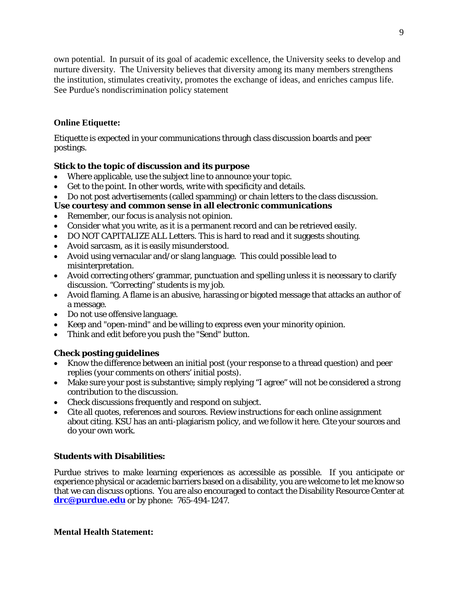own potential. In pursuit of its goal of academic excellence, the University seeks to develop and nurture diversity. The University believes that diversity among its many members strengthens the institution, stimulates creativity, promotes the exchange of ideas, and enriches campus life. See Purdue's nondiscrimination policy statement

# **Online Etiquette:**

Etiquette is expected in your communications through class discussion boards and peer postings.

# **Stick to the topic of discussion and its purpose**

- Where applicable, use the subject line to announce your topic.
- Get to the point. In other words, write with specificity and details.
- Do not post advertisements (called spamming) or chain letters to the class discussion.

# **Use courtesy and common sense in all electronic communications**

- Remember, our focus is *analysis* not *opinion*.
- Consider what you write, as it is a permanent record and can be retrieved easily.
- DO NOT CAPITALIZE ALL Letters. This is hard to read and it suggests shouting.
- Avoid sarcasm, as it is easily misunderstood.
- Avoid using vernacular and/or slang language. This could possible lead to misinterpretation.
- Avoid correcting others' grammar, punctuation and spelling unless it is necessary to clarify discussion. "Correcting" students is my job.
- Avoid flaming. A flame is an abusive, harassing or bigoted message that attacks an author of a message.
- Do not use offensive language.
- Keep and "open-mind" and be willing to express even your minority opinion.
- Think and edit before you push the "Send" button.

# **Check posting guidelines**

- Know the difference between an initial post (your response to a thread question) and peer replies (your comments on others' initial posts).
- Make sure your post is substantive; simply replying "I agree" will not be considered a strong contribution to the discussion.
- Check discussions frequently and respond on subject.
- Cite all quotes, references and sources. Review instructions for each online assignment about citing. KSU has an anti-plagiarism policy, and we follow it here. Cite your sources and do your own work.

## **Students with Disabilities:**

Purdue strives to make learning experiences as accessible as possible. If you anticipate or experience physical or academic barriers based on a disability, you are welcome to let me know so that we can discuss options. You are also encouraged to contact the Disability Resource Center at **[drc@purdue.edu](mailto:drc@purdue.edu)** or by phone: 765-494-1247.

**Mental Health Statement:**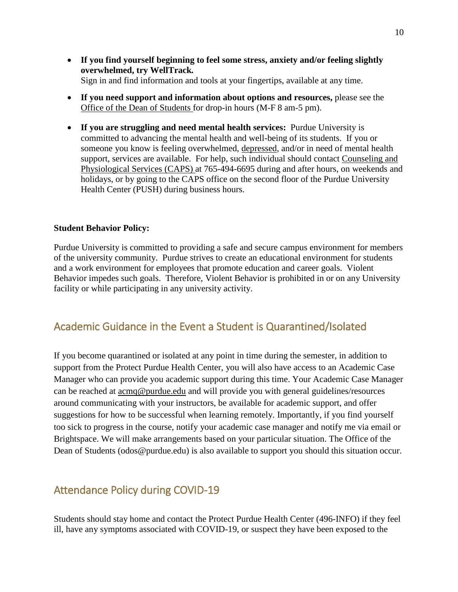- **If you find yourself beginning to feel some stress, anxiety and/or feeling slightly overwhelmed, try WellTrack***.* Sign in and find information and tools at your fingertips, available at any time.
- **If you need support and information about options and resources,** please see the Office of the Dean of Students for drop-in hours (M-F 8 am-5 pm).
- **If you are struggling and need mental health services:** Purdue University is committed to advancing the mental health and well-being of its students. If you or someone you know is feeling overwhelmed, depressed, and/or in need of mental health support, services are available. For help, such individual should contact Counseling and Physiological Services (CAPS) at 765-494-6695 during and after hours, on weekends and holidays, or by going to the CAPS office on the second floor of the Purdue University Health Center (PUSH) during business hours.

### **Student Behavior Policy:**

Purdue University is committed to providing a safe and secure campus environment for members of the university community. Purdue strives to create an educational environment for students and a work environment for employees that promote education and career goals. Violent Behavior impedes such goals. Therefore, Violent Behavior is prohibited in or on any University facility or while participating in any university activity.

# Academic Guidance in the Event a Student is Quarantined/Isolated

If you become quarantined or isolated at any point in time during the semester, in addition to support from the Protect Purdue Health Center, you will also have access to an Academic Case Manager who can provide you academic support during this time. Your Academic Case Manager can be reached at [acmq@purdue.edu](mailto:acmq@purdue.edu) and will provide you with general guidelines/resources around communicating with your instructors, be available for academic support, and offer suggestions for how to be successful when learning remotely. Importantly, if you find yourself too sick to progress in the course, notify your academic case manager and notify me via email or Brightspace. We will make arrangements based on your particular situation. The Office of the Dean of Students (odos@purdue.edu) is also available to support you should this situation occur.

# Attendance Policy during COVID-19

Students should stay home and contact the Protect Purdue Health Center (496-INFO) if they feel ill, have any symptoms associated with COVID-19, or suspect they have been exposed to the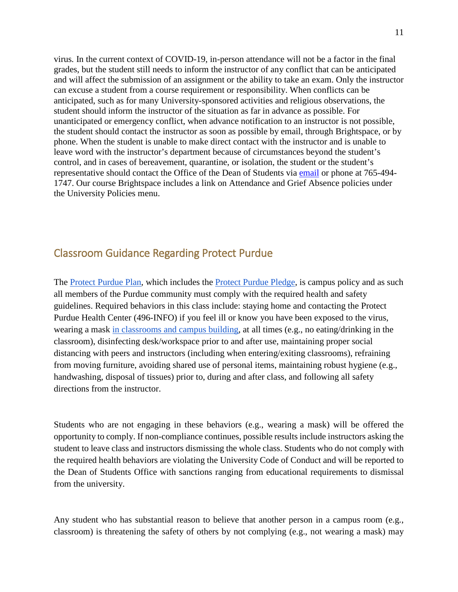virus*.* In the current context of COVID-19, in-person attendance will not be a factor in the final grades, but the student still needs to inform the instructor of any conflict that can be anticipated and will affect the submission of an assignment or the ability to take an exam. Only the instructor can excuse a student from a course requirement or responsibility. When conflicts can be anticipated, such as for many University-sponsored activities and religious observations, the student should inform the instructor of the situation as far in advance as possible. For unanticipated or emergency conflict, when advance notification to an instructor is not possible, the student should contact the instructor as soon as possible by email, through Brightspace, or by phone. When the student is unable to make direct contact with the instructor and is unable to leave word with the instructor's department because of circumstances beyond the student's control, and in cases of bereavement, quarantine, or isolation, the student or the student's representative should contact the Office of the Dean of Students via [email](mailto:odos@purdue.edu%20?subject=Student%20Bereavement%20Needs) or phone at 765-494- 1747. Our course Brightspace includes a link on Attendance and Grief Absence policies under the University Policies menu.

# Classroom Guidance Regarding Protect Purdue

The [Protect Purdue Plan,](https://protect.purdue.edu/plan/) which includes the [Protect Purdue Pledge,](https://protect.purdue.edu/pledge/?_ga=2.210401429.1213937682.1590527202-1814553957.1589408073) is campus policy and as such all members of the Purdue community must comply with the required health and safety guidelines. Required behaviors in this class include: staying home and contacting the Protect Purdue Health Center (496-INFO) if you feel ill or know you have been exposed to the virus, wearing a mask [in classrooms and campus building,](https://protect.purdue.edu/updates/face-covering-protocols/) at all times (e.g., no eating/drinking in the classroom), disinfecting desk/workspace prior to and after use, maintaining proper social distancing with peers and instructors (including when entering/exiting classrooms), refraining from moving furniture, avoiding shared use of personal items, maintaining robust hygiene (e.g., handwashing, disposal of tissues) prior to, during and after class, and following all safety directions from the instructor.

Students who are not engaging in these behaviors (e.g., wearing a mask) will be offered the opportunity to comply. If non-compliance continues, possible results include instructors asking the student to leave class and instructors dismissing the whole class. Students who do not comply with the required health behaviors are violating the University Code of Conduct and will be reported to the Dean of Students Office with sanctions ranging from educational requirements to dismissal from the university.

Any student who has substantial reason to believe that another person in a campus room (e.g., classroom) is threatening the safety of others by not complying (e.g., not wearing a mask) may